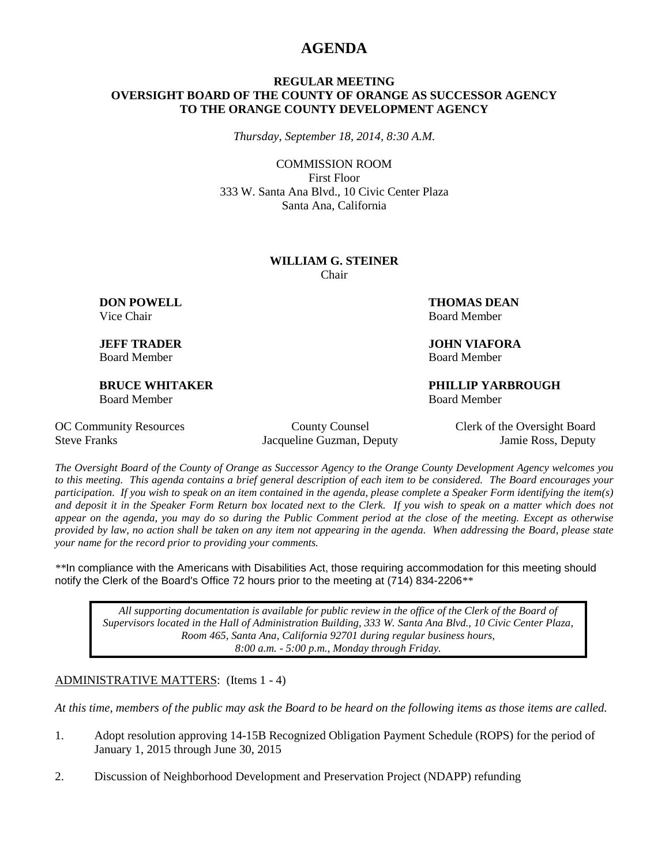## **AGENDA**

### **REGULAR MEETING OVERSIGHT BOARD OF THE COUNTY OF ORANGE AS SUCCESSOR AGENCY TO THE ORANGE COUNTY DEVELOPMENT AGENCY**

*Thursday, September 18, 2014, 8:30 A.M.*

COMMISSION ROOM First Floor 333 W. Santa Ana Blvd., 10 Civic Center Plaza Santa Ana, California

#### **WILLIAM G. STEINER** Chair

Board Member Board Member

Board Member Board Member

**DON POWELL THOMAS DEAN** Vice Chair **Board Member** Board Member

**JEFF TRADER JOHN VIAFORA**

**BRUCE WHITAKER PHILLIP YARBROUGH**

Steve Franks Jacqueline Guzman, Deputy Jamie Ross, Deputy

OC Community Resources County County Counsel Clerk of the Oversight Board

*The Oversight Board of the County of Orange as Successor Agency to the Orange County Development Agency welcomes you to this meeting. This agenda contains a brief general description of each item to be considered. The Board encourages your participation. If you wish to speak on an item contained in the agenda, please complete a Speaker Form identifying the item(s) and deposit it in the Speaker Form Return box located next to the Clerk. If you wish to speak on a matter which does not appear on the agenda, you may do so during the Public Comment period at the close of the meeting. Except as otherwise provided by law, no action shall be taken on any item not appearing in the agenda. When addressing the Board, please state your name for the record prior to providing your comments.* 

*\*\**In compliance with the Americans with Disabilities Act, those requiring accommodation for this meeting should notify the Clerk of the Board's Office 72 hours prior to the meeting at (714) 834-2206*\*\**

*All supporting documentation is available for public review in the office of the Clerk of the Board of Supervisors located in the Hall of Administration Building, 333 W. Santa Ana Blvd., 10 Civic Center Plaza, Room 465, Santa Ana, California 92701 during regular business hours, 8:00 a.m. - 5:00 p.m., Monday through Friday.*

#### ADMINISTRATIVE MATTERS: (Items 1 - 4)

*At this time, members of the public may ask the Board to be heard on the following items as those items are called.*

- 1. Adopt resolution approving 14-15B Recognized Obligation Payment Schedule (ROPS) for the period of January 1, 2015 through June 30, 2015
- 2. Discussion of Neighborhood Development and Preservation Project (NDAPP) refunding